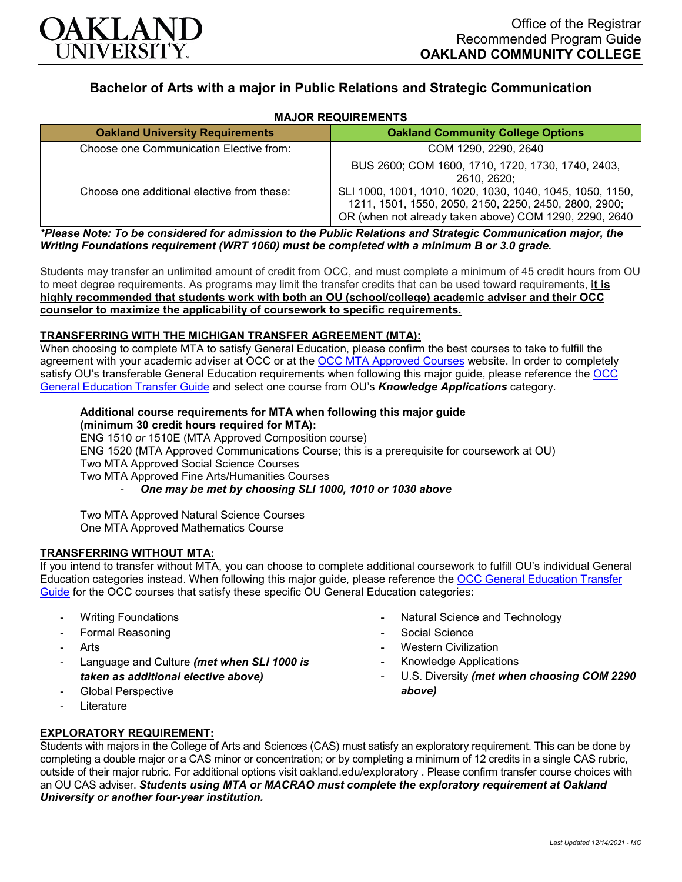

# **Bachelor of Arts with a major in Public Relations and Strategic Communication**

| <b>MAJOR REQUIREMENTS</b> |
|---------------------------|
|---------------------------|

| <b>Oakland University Requirements</b>     | <b>Oakland Community College Options</b>                                                                                                                                                                                                         |
|--------------------------------------------|--------------------------------------------------------------------------------------------------------------------------------------------------------------------------------------------------------------------------------------------------|
| Choose one Communication Elective from:    | COM 1290, 2290, 2640                                                                                                                                                                                                                             |
| Choose one additional elective from these: | BUS 2600; COM 1600, 1710, 1720, 1730, 1740, 2403,<br>2610, 2620:<br>SLI 1000, 1001, 1010, 1020, 1030, 1040, 1045, 1050, 1150,<br>1211, 1501, 1550, 2050, 2150, 2250, 2450, 2800, 2900;<br>OR (when not already taken above) COM 1290, 2290, 2640 |

*\*Please Note: To be considered for admission to the Public Relations and Strategic Communication major, the Writing Foundations requirement (WRT 1060) must be completed with a minimum B or 3.0 grade.*

Students may transfer an unlimited amount of credit from OCC, and must complete a minimum of 45 credit hours from OU to meet degree requirements. As programs may limit the transfer credits that can be used toward requirements, **it is highly recommended that students work with both an OU (school/college) academic adviser and their OCC counselor to maximize the applicability of coursework to specific requirements.**

### **TRANSFERRING WITH THE MICHIGAN TRANSFER AGREEMENT (MTA):**

When choosing to complete MTA to satisfy General Education, please confirm the best courses to take to fulfill the agreement with your academic adviser at OCC or at the [OCC MTA Approved Courses](http://catalog.oaklandcc.edu/graduation-requirements/michigan-transfer-agreement/) website. In order to completely satisfy OU's transferable General Education requirements when following this major guide, please reference the [OCC](https://www.oakland.edu/Assets/Oakland/program-guides/oakland-community-college/university-general-education-requirements/OCC%20Gen%20Ed.pdf)  [General Education Transfer Guide](https://www.oakland.edu/Assets/Oakland/program-guides/oakland-community-college/university-general-education-requirements/OCC%20Gen%20Ed.pdf) and select one course from OU's *Knowledge Applications* category.

## **Additional course requirements for MTA when following this major guide (minimum 30 credit hours required for MTA):**

ENG 1510 *or* 1510E (MTA Approved Composition course) ENG 1520 (MTA Approved Communications Course; this is a prerequisite for coursework at OU) Two MTA Approved Social Science Courses Two MTA Approved Fine Arts/Humanities Courses - *One may be met by choosing SLI 1000, 1010 or 1030 above*

Two MTA Approved Natural Science Courses One MTA Approved Mathematics Course

#### **TRANSFERRING WITHOUT MTA:**

If you intend to transfer without MTA, you can choose to complete additional coursework to fulfill OU's individual General Education categories instead. When following this major guide, please reference the [OCC General Education Transfer](https://www.oakland.edu/Assets/Oakland/program-guides/oakland-community-college/university-general-education-requirements/OCC%20Gen%20Ed.pdf)  [Guide](https://www.oakland.edu/Assets/Oakland/program-guides/oakland-community-college/university-general-education-requirements/OCC%20Gen%20Ed.pdf) for the OCC courses that satisfy these specific OU General Education categories:

- **Writing Foundations**
- Formal Reasoning
- **Arts**
- Language and Culture *(met when SLI 1000 is taken as additional elective above)*
- Global Perspective
- **Literature**
- Natural Science and Technology
- Social Science
- **Western Civilization**
- Knowledge Applications
- U.S. Diversity *(met when choosing COM 2290 above)*

#### **EXPLORATORY REQUIREMENT:**

Students with majors in the College of Arts and Sciences (CAS) must satisfy an exploratory requirement. This can be done by completing a double major or a CAS minor or concentration; or by completing a minimum of 12 credits in a single CAS rubric, outside of their major rubric. For additional options visit [oakland.edu/exploratory](http://www.oakland.edu/exploratory) . Please confirm transfer course choices with an OU CAS adviser. *Students using MTA or MACRAO must complete the exploratory requirement at Oakland University or another four-year institution.*